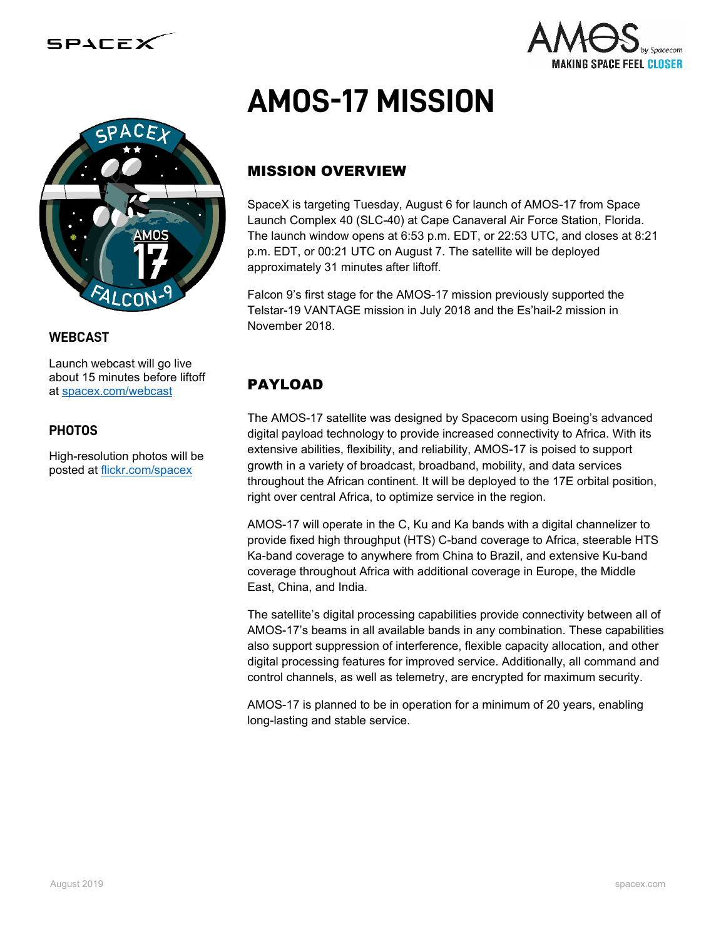

#### **WEBCAST**

Launch webcast will go live about 15 minutes before liftoff at [spacex.com/webcast](http://www.spacex.com/webcast)

#### **PHOTOS**

High-resolution photos will be posted at [flickr.com/spacex](http://www.flickr.com/spacex)



# MISSION OVERVIEW

SpaceX is targeting Tuesday, August 6 for launch of AMOS-17 from Space Launch Complex 40 (SLC-40) at Cape Canaveral Air Force Station, Florida. The launch window opens at 6:53 p.m. EDT, or 22:53 UTC, and closes at 8:21 p.m. EDT, or 00:21 UTC on August 7. The satellite will be deployed approximately 31 minutes after liftoff.

Falcon 9's first stage for the AMOS-17 mission previously supported the Telstar-19 VANTAGE mission in July 2018 and the Es'hail-2 mission in November 2018.

# PAYLOAD

The AMOS-17 satellite was designed by Spacecom using Boeing's advanced digital payload technology to provide increased connectivity to Africa. With its extensive abilities, flexibility, and reliability, AMOS-17 is poised to support growth in a variety of broadcast, broadband, mobility, and data services throughout the African continent. It will be deployed to the 17E orbital position, right over central Africa, to optimize service in the region.

AMOS-17 will operate in the C, Ku and Ka bands with a digital channelizer to provide fixed high throughput (HTS) C-band coverage to Africa, steerable HTS Ka-band coverage to anywhere from China to Brazil, and extensive Ku-band coverage throughout Africa with additional coverage in Europe, the Middle East, China, and India.

The satellite's digital processing capabilities provide connectivity between all of AMOS-17's beams in all available bands in any combination. These capabilities also support suppression of interference, flexible capacity allocation, and other digital processing features for improved service. Additionally, all command and control channels, as well as telemetry, are encrypted for maximum security.

AMOS-17 is planned to be in operation for a minimum of 20 years, enabling long-lasting and stable service.